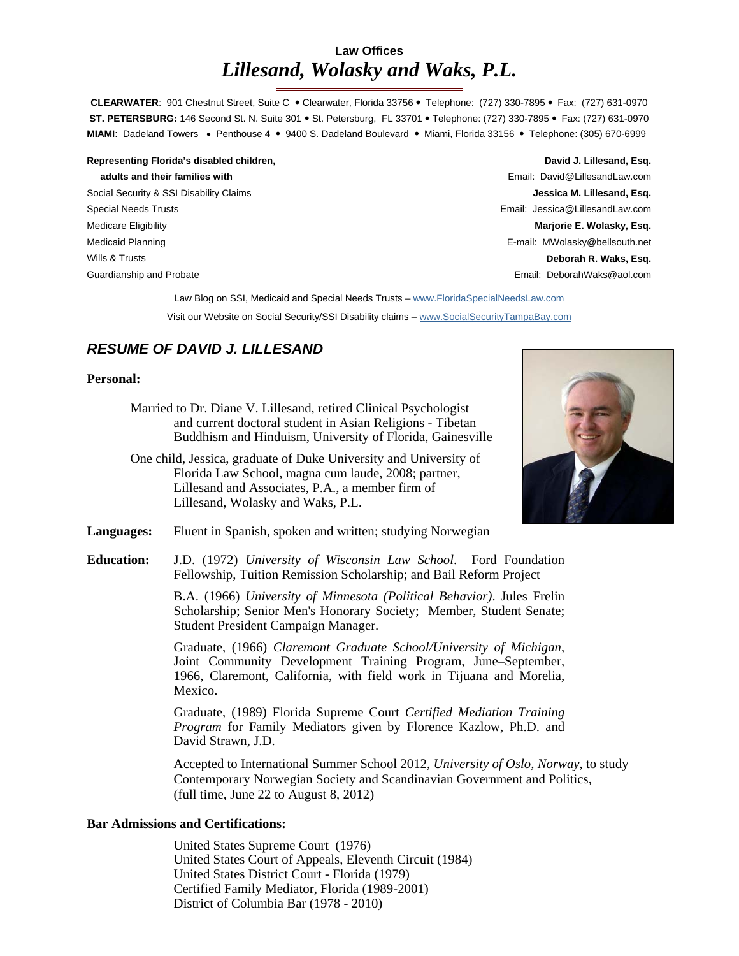# **Law Offices**  *Lillesand, Wolasky and Waks, P.L.*

CLEARWATER: 901 Chestnut Street, Suite C · Clearwater, Florida 33756 · Telephone: (727) 330-7895 · Fax: (727) 631-0970 **ST. PETERSBURG:** 146 Second St. N. Suite 301 · St. Petersburg, FL 33701 · Telephone: (727) 330-7895 · Fax: (727) 631-0970 MIAMI: Dadeland Towers • Penthouse 4 • 9400 S. Dadeland Boulevard • Miami, Florida 33156 • Telephone: (305) 670-6999

Representing Florida's disabled children, **David J. Lillesand, Esq. David J. Lillesand, Esq. David J. Lillesand, Esq. adults and their families with** Email: David@LillesandLaw.com Social Security & SSI Disability Claims **Jessica M. Lillesand, Esq.** Special Needs Trusts Email: Jessica@LillesandLaw.com Medicare Eligibility **Marjorie E. Wolasky, Esq.** Medicaid Planning **E-mail: MWolasky@bellsouth.net** Wills & Trusts **Deborah R. Waks, Esq.**  Guardianship and Probate Email: DeborahWaks@aol.com

Law Blog on SSI, Medicaid and Special Needs Trusts - www.FloridaSpecialNeedsLaw.com Visit our Website on Social Security/SSI Disability claims – www.SocialSecurityTampaBay.com

# *RESUME OF DAVID J. LILLESAND*

# **Personal:**

- Married to Dr. Diane V. Lillesand, retired Clinical Psychologist and current doctoral student in Asian Religions - Tibetan Buddhism and Hinduism, University of Florida, Gainesville
- One child, Jessica, graduate of Duke University and University of Florida Law School, magna cum laude, 2008; partner, Lillesand and Associates, P.A., a member firm of Lillesand, Wolasky and Waks, P.L.



- Languages: Fluent in Spanish, spoken and written; studying Norwegian
- **Education:** J.D. (1972) *University of Wisconsin Law School*. Ford Foundation Fellowship, Tuition Remission Scholarship; and Bail Reform Project

B.A. (1966) *University of Minnesota (Political Behavior)*. Jules Frelin Scholarship; Senior Men's Honorary Society; Member, Student Senate; Student President Campaign Manager.

Graduate, (1966) *Claremont Graduate School/University of Michigan*, Joint Community Development Training Program, June–September, 1966, Claremont, California, with field work in Tijuana and Morelia, Mexico.

Graduate, (1989) Florida Supreme Court *Certified Mediation Training Program* for Family Mediators given by Florence Kazlow, Ph.D. and David Strawn, J.D.

Accepted to International Summer School 2012, *University of Oslo, Norway*, to study Contemporary Norwegian Society and Scandinavian Government and Politics, (full time, June 22 to August 8, 2012)

# **Bar Admissions and Certifications:**

United States Supreme Court (1976) United States Court of Appeals, Eleventh Circuit (1984) United States District Court - Florida (1979) Certified Family Mediator, Florida (1989-2001) District of Columbia Bar (1978 - 2010)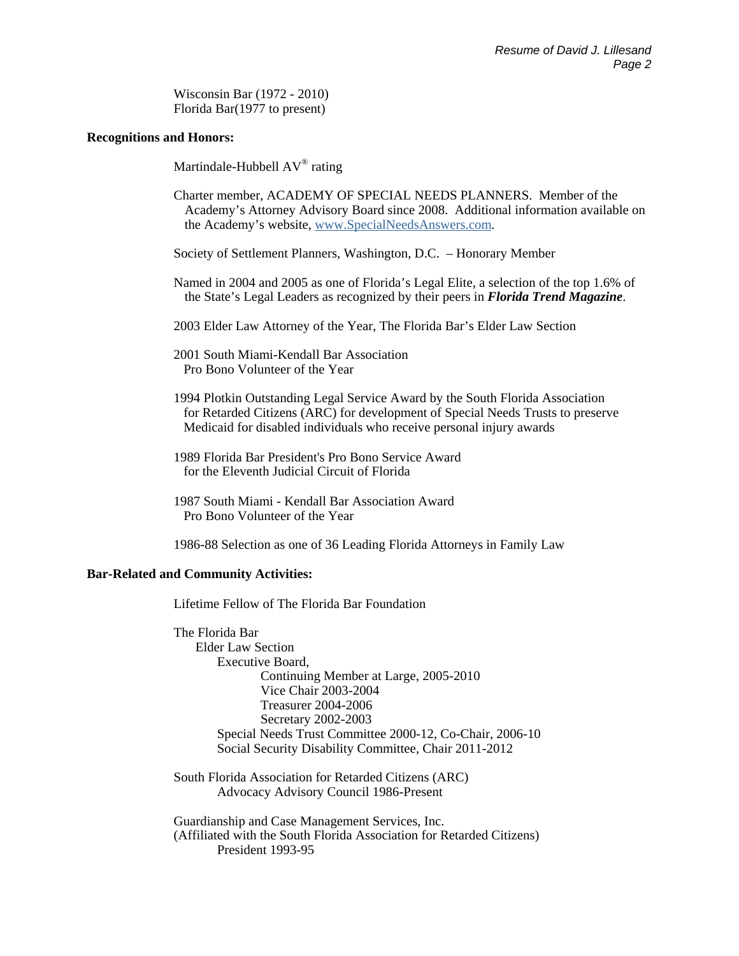Wisconsin Bar (1972 - 2010) Florida Bar(1977 to present)

#### **Recognitions and Honors:**

Martindale-Hubbell AV® rating

- Charter member, ACADEMY OF SPECIAL NEEDS PLANNERS. Member of the Academy's Attorney Advisory Board since 2008. Additional information available on the Academy's website, www.SpecialNeedsAnswers.com.
- Society of Settlement Planners, Washington, D.C. Honorary Member
- Named in 2004 and 2005 as one of Florida's Legal Elite, a selection of the top 1.6% of the State's Legal Leaders as recognized by their peers in *Florida Trend Magazine*.
- 2003 Elder Law Attorney of the Year, The Florida Bar's Elder Law Section
- 2001 South Miami-Kendall Bar Association Pro Bono Volunteer of the Year
- 1994 Plotkin Outstanding Legal Service Award by the South Florida Association for Retarded Citizens (ARC) for development of Special Needs Trusts to preserve Medicaid for disabled individuals who receive personal injury awards
- 1989 Florida Bar President's Pro Bono Service Award for the Eleventh Judicial Circuit of Florida
- 1987 South Miami Kendall Bar Association Award Pro Bono Volunteer of the Year
- 1986-88 Selection as one of 36 Leading Florida Attorneys in Family Law

# **Bar-Related and Community Activities:**

Lifetime Fellow of The Florida Bar Foundation

 The Florida Bar Elder Law Section Executive Board, Continuing Member at Large, 2005-2010 Vice Chair 2003-2004 Treasurer 2004-2006 Secretary 2002-2003 Special Needs Trust Committee 2000-12, Co-Chair, 2006-10 Social Security Disability Committee, Chair 2011-2012

 South Florida Association for Retarded Citizens (ARC) Advocacy Advisory Council 1986-Present

 Guardianship and Case Management Services, Inc. (Affiliated with the South Florida Association for Retarded Citizens) President 1993-95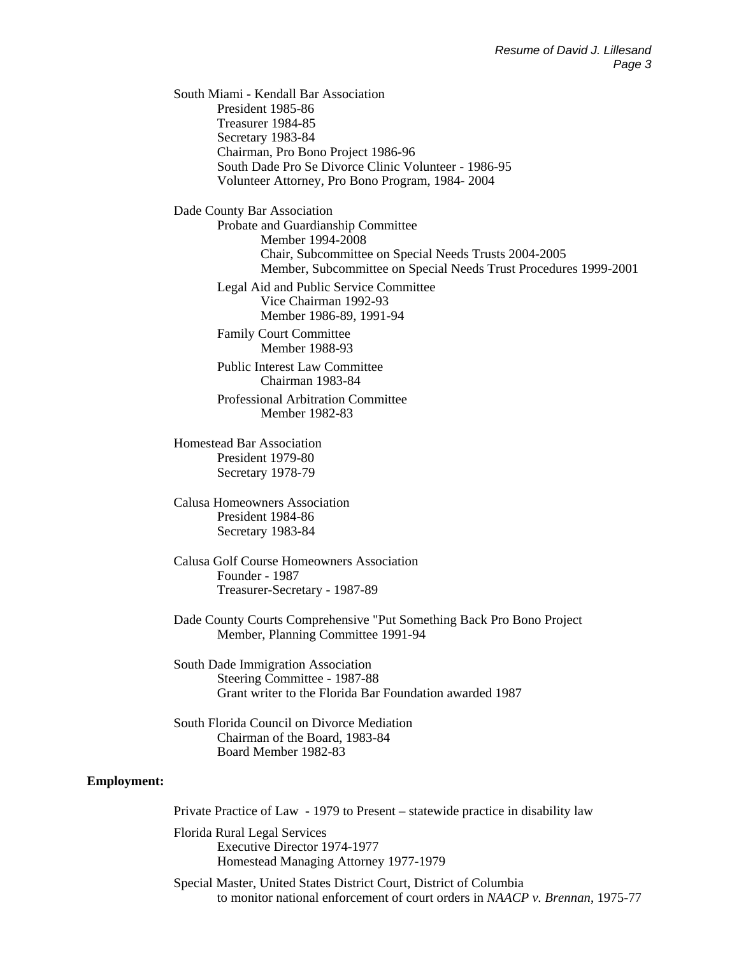South Miami - Kendall Bar Association President 1985-86 Treasurer 1984-85 Secretary 1983-84 Chairman, Pro Bono Project 1986-96 South Dade Pro Se Divorce Clinic Volunteer - 1986-95 Volunteer Attorney, Pro Bono Program, 1984- 2004

Dade County Bar Association

 Probate and Guardianship Committee Member 1994-2008 Chair, Subcommittee on Special Needs Trusts 2004-2005 Member, Subcommittee on Special Needs Trust Procedures 1999-2001

 Legal Aid and Public Service Committee Vice Chairman 1992-93 Member 1986-89, 1991-94

 Family Court Committee Member 1988-93

 Public Interest Law Committee Chairman 1983-84

 Professional Arbitration Committee Member 1982-83

 Homestead Bar Association President 1979-80 Secretary 1978-79

 Calusa Homeowners Association President 1984-86 Secretary 1983-84

 Calusa Golf Course Homeowners Association Founder - 1987 Treasurer-Secretary - 1987-89

 Dade County Courts Comprehensive "Put Something Back Pro Bono Project Member, Planning Committee 1991-94

 South Dade Immigration Association Steering Committee - 1987-88 Grant writer to the Florida Bar Foundation awarded 1987

 South Florida Council on Divorce Mediation Chairman of the Board, 1983-84 Board Member 1982-83

#### **Employment:**

Private Practice of Law - 1979 to Present – statewide practice in disability law

 Florida Rural Legal Services Executive Director 1974-1977 Homestead Managing Attorney 1977-1979

 Special Master, United States District Court, District of Columbia to monitor national enforcement of court orders in *NAACP v. Brennan*, 1975-77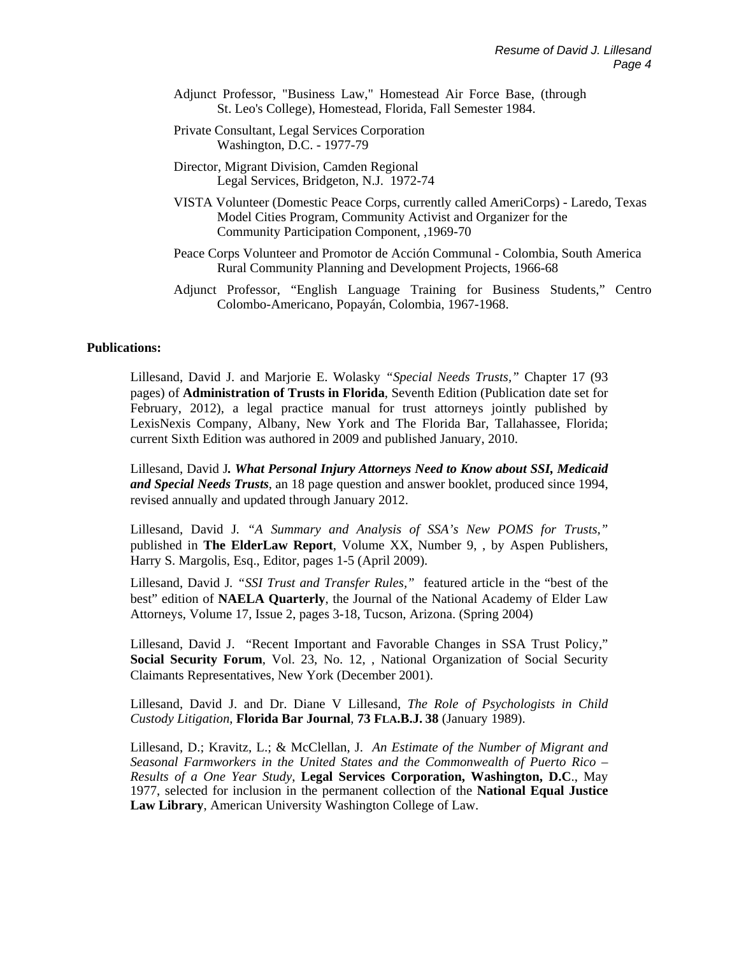- Adjunct Professor, "Business Law," Homestead Air Force Base, (through St. Leo's College), Homestead, Florida, Fall Semester 1984.
- Private Consultant, Legal Services Corporation Washington, D.C. - 1977-79
- Director, Migrant Division, Camden Regional Legal Services, Bridgeton, N.J. 1972-74
- VISTA Volunteer (Domestic Peace Corps, currently called AmeriCorps) Laredo, Texas Model Cities Program, Community Activist and Organizer for the Community Participation Component, ,1969-70
- Peace Corps Volunteer and Promotor de Acción Communal Colombia, South America Rural Community Planning and Development Projects, 1966-68
- Adjunct Professor, "English Language Training for Business Students," Centro Colombo-Americano, Popayán, Colombia, 1967-1968.

# **Publications:**

Lillesand, David J. and Marjorie E. Wolasky *"Special Needs Trusts,"* Chapter 17 (93 pages) of **Administration of Trusts in Florida**, Seventh Edition (Publication date set for February, 2012), a legal practice manual for trust attorneys jointly published by LexisNexis Company, Albany, New York and The Florida Bar, Tallahassee, Florida; current Sixth Edition was authored in 2009 and published January, 2010.

Lillesand, David J*. What Personal Injury Attorneys Need to Know about SSI, Medicaid and Special Needs Trusts*, an 18 page question and answer booklet, produced since 1994, revised annually and updated through January 2012.

Lillesand, David J*. "A Summary and Analysis of SSA's New POMS for Trusts,"*  published in **The ElderLaw Report**, Volume XX, Number 9, , by Aspen Publishers, Harry S. Margolis, Esq., Editor, pages 1-5 (April 2009).

Lillesand, David J*. "SSI Trust and Transfer Rules,"* featured article in the "best of the best" edition of **NAELA Quarterly**, the Journal of the National Academy of Elder Law Attorneys, Volume 17, Issue 2, pages 3-18, Tucson, Arizona. (Spring 2004)

Lillesand, David J. "Recent Important and Favorable Changes in SSA Trust Policy," **Social Security Forum**, Vol. 23, No. 12, , National Organization of Social Security Claimants Representatives, New York (December 2001).

Lillesand, David J. and Dr. Diane V Lillesand, *The Role of Psychologists in Child Custody Litigation*, **Florida Bar Journal**, **73 FLA.B.J. 38** (January 1989).

Lillesand, D.; Kravitz, L.; & McClellan, J. *An Estimate of the Number of Migrant and Seasonal Farmworkers in the United States and the Commonwealth of Puerto Rico – Results of a One Year Study*, **Legal Services Corporation, Washington, D.C**., May 1977, selected for inclusion in the permanent collection of the **National Equal Justice Law Library**, American University Washington College of Law.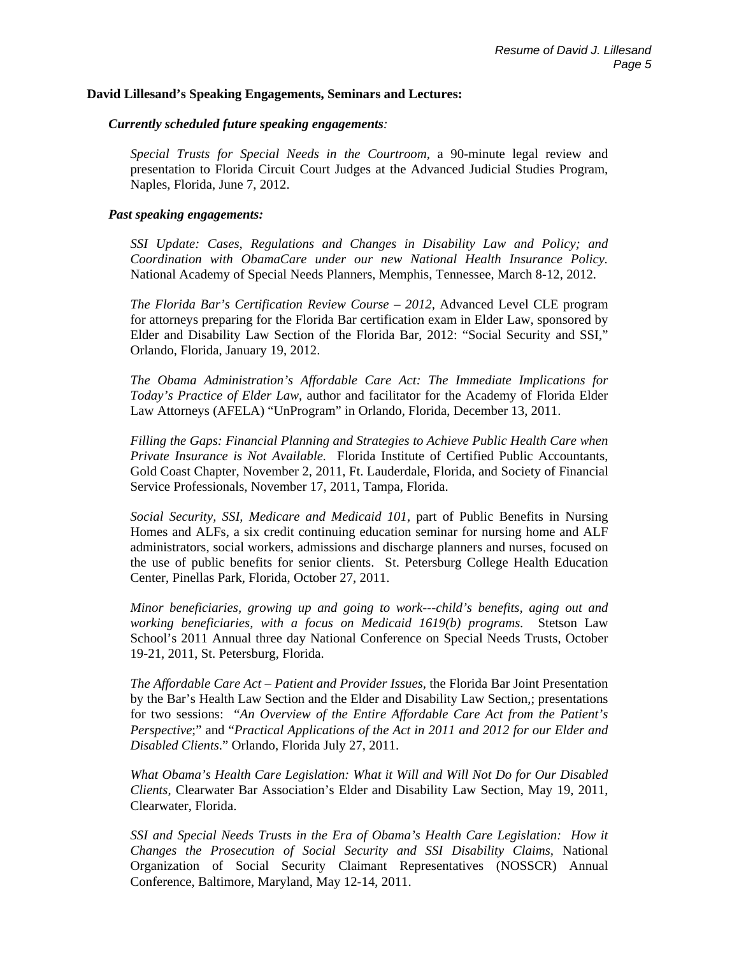#### **David Lillesand's Speaking Engagements, Seminars and Lectures:**

#### *Currently scheduled future speaking engagements:*

*Special Trusts for Special Needs in the Courtroom,* a 90-minute legal review and presentation to Florida Circuit Court Judges at the Advanced Judicial Studies Program, Naples, Florida, June 7, 2012.

# *Past speaking engagements:*

*SSI Update: Cases, Regulations and Changes in Disability Law and Policy; and Coordination with ObamaCare under our new National Health Insurance Policy.* National Academy of Special Needs Planners, Memphis, Tennessee, March 8-12, 2012.

*The Florida Bar's Certification Review Course – 2012,* Advanced Level CLE program for attorneys preparing for the Florida Bar certification exam in Elder Law, sponsored by Elder and Disability Law Section of the Florida Bar, 2012: "Social Security and SSI," Orlando, Florida, January 19, 2012.

*The Obama Administration's Affordable Care Act: The Immediate Implications for Today's Practice of Elder Law,* author and facilitator for the Academy of Florida Elder Law Attorneys (AFELA) "UnProgram" in Orlando, Florida, December 13, 2011.

*Filling the Gaps: Financial Planning and Strategies to Achieve Public Health Care when Private Insurance is Not Available.* Florida Institute of Certified Public Accountants, Gold Coast Chapter, November 2, 2011, Ft. Lauderdale, Florida, and Society of Financial Service Professionals, November 17, 2011, Tampa, Florida.

*Social Security, SSI, Medicare and Medicaid 101,* part of Public Benefits in Nursing Homes and ALFs, a six credit continuing education seminar for nursing home and ALF administrators, social workers, admissions and discharge planners and nurses, focused on the use of public benefits for senior clients. St. Petersburg College Health Education Center, Pinellas Park, Florida, October 27, 2011.

*Minor beneficiaries, growing up and going to work---child's benefits, aging out and working beneficiaries, with a focus on Medicaid 1619(b) programs*. Stetson Law School's 2011 Annual three day National Conference on Special Needs Trusts, October 19-21, 2011, St. Petersburg, Florida.

*The Affordable Care Act – Patient and Provider Issues,* the Florida Bar Joint Presentation by the Bar's Health Law Section and the Elder and Disability Law Section,; presentations for two sessions: "*An Overview of the Entire Affordable Care Act from the Patient's Perspective*;" and "*Practical Applications of the Act in 2011 and 2012 for our Elder and Disabled Clients*." Orlando, Florida July 27, 2011.

*What Obama's Health Care Legislation: What it Will and Will Not Do for Our Disabled Clients,* Clearwater Bar Association's Elder and Disability Law Section, May 19, 2011, Clearwater, Florida.

*SSI and Special Needs Trusts in the Era of Obama's Health Care Legislation: How it Changes the Prosecution of Social Security and SSI Disability Claims,* National Organization of Social Security Claimant Representatives (NOSSCR) Annual Conference, Baltimore, Maryland, May 12-14, 2011.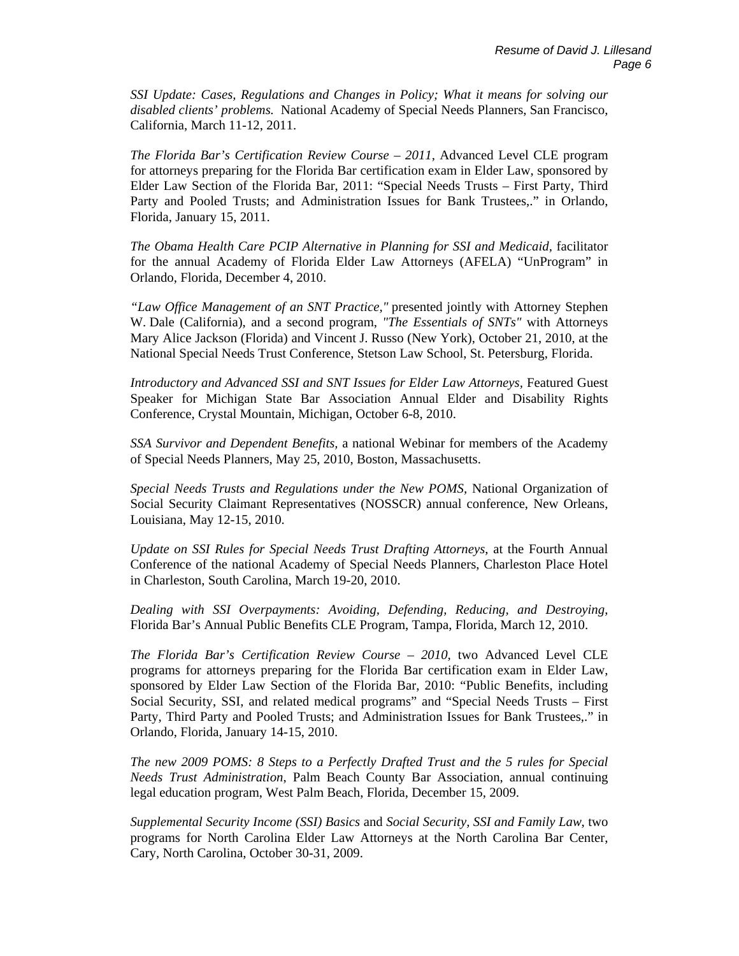*SSI Update: Cases, Regulations and Changes in Policy; What it means for solving our disabled clients' problems.* National Academy of Special Needs Planners, San Francisco, California, March 11-12, 2011.

*The Florida Bar's Certification Review Course – 2011,* Advanced Level CLE program for attorneys preparing for the Florida Bar certification exam in Elder Law, sponsored by Elder Law Section of the Florida Bar, 2011: "Special Needs Trusts – First Party, Third Party and Pooled Trusts; and Administration Issues for Bank Trustees,." in Orlando, Florida, January 15, 2011.

*The Obama Health Care PCIP Alternative in Planning for SSI and Medicaid,* facilitator for the annual Academy of Florida Elder Law Attorneys (AFELA) "UnProgram" in Orlando, Florida, December 4, 2010.

*"Law Office Management of an SNT Practice,"* presented jointly with Attorney Stephen W. Dale (California), and a second program, *"The Essentials of SNTs"* with Attorneys Mary Alice Jackson (Florida) and Vincent J. Russo (New York), October 21, 2010, at the National Special Needs Trust Conference, Stetson Law School, St. Petersburg, Florida.

*Introductory and Advanced SSI and SNT Issues for Elder Law Attorneys,* Featured Guest Speaker for Michigan State Bar Association Annual Elder and Disability Rights Conference, Crystal Mountain, Michigan, October 6-8, 2010.

*SSA Survivor and Dependent Benefits,* a national Webinar for members of the Academy of Special Needs Planners, May 25, 2010, Boston, Massachusetts.

*Special Needs Trusts and Regulations under the New POMS,* National Organization of Social Security Claimant Representatives (NOSSCR) annual conference, New Orleans, Louisiana, May 12-15, 2010.

*Update on SSI Rules for Special Needs Trust Drafting Attorneys*, at the Fourth Annual Conference of the national Academy of Special Needs Planners, Charleston Place Hotel in Charleston, South Carolina, March 19-20, 2010.

*Dealing with SSI Overpayments: Avoiding, Defending, Reducing, and Destroying*, Florida Bar's Annual Public Benefits CLE Program, Tampa, Florida, March 12, 2010.

*The Florida Bar's Certification Review Course – 2010,* two Advanced Level CLE programs for attorneys preparing for the Florida Bar certification exam in Elder Law, sponsored by Elder Law Section of the Florida Bar, 2010: "Public Benefits, including Social Security, SSI, and related medical programs" and "Special Needs Trusts – First Party, Third Party and Pooled Trusts; and Administration Issues for Bank Trustees,." in Orlando, Florida, January 14-15, 2010.

*The new 2009 POMS: 8 Steps to a Perfectly Drafted Trust and the 5 rules for Special Needs Trust Administration*, Palm Beach County Bar Association, annual continuing legal education program, West Palm Beach, Florida, December 15, 2009.

*Supplemental Security Income (SSI) Basics* and *Social Security, SSI and Family Law*, two programs for North Carolina Elder Law Attorneys at the North Carolina Bar Center, Cary, North Carolina, October 30-31, 2009.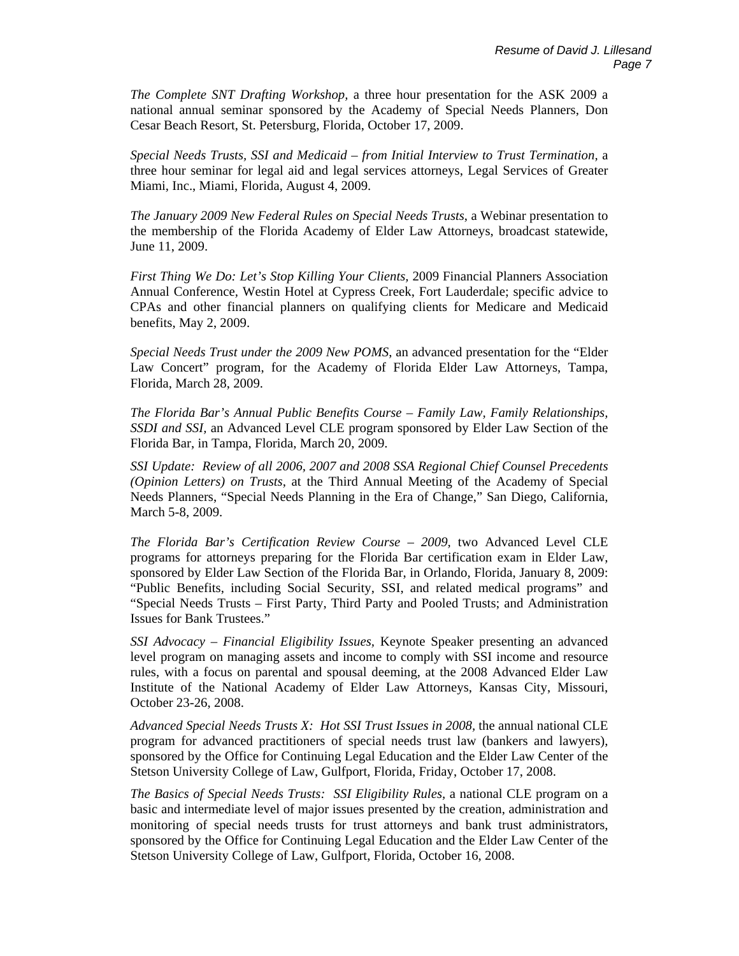*The Complete SNT Drafting Workshop,* a three hour presentation for the ASK 2009 a national annual seminar sponsored by the Academy of Special Needs Planners, Don Cesar Beach Resort, St. Petersburg, Florida, October 17, 2009.

*Special Needs Trusts, SSI and Medicaid – from Initial Interview to Trust Termination,* a three hour seminar for legal aid and legal services attorneys, Legal Services of Greater Miami, Inc., Miami, Florida, August 4, 2009.

*The January 2009 New Federal Rules on Special Needs Trusts*, a Webinar presentation to the membership of the Florida Academy of Elder Law Attorneys, broadcast statewide, June 11, 2009.

*First Thing We Do: Let's Stop Killing Your Clients,* 2009 Financial Planners Association Annual Conference*,* Westin Hotel at Cypress Creek, Fort Lauderdale; specific advice to CPAs and other financial planners on qualifying clients for Medicare and Medicaid benefits, May 2, 2009.

*Special Needs Trust under the 2009 New POMS*, an advanced presentation for the "Elder Law Concert" program, for the Academy of Florida Elder Law Attorneys, Tampa, Florida, March 28, 2009.

*The Florida Bar's Annual Public Benefits Course – Family Law, Family Relationships, SSDI and SSI,* an Advanced Level CLE program sponsored by Elder Law Section of the Florida Bar, in Tampa, Florida, March 20, 2009.

*SSI Update: Review of all 2006, 2007 and 2008 SSA Regional Chief Counsel Precedents (Opinion Letters) on Trusts*, at the Third Annual Meeting of the Academy of Special Needs Planners, "Special Needs Planning in the Era of Change," San Diego, California, March 5-8, 2009.

*The Florida Bar's Certification Review Course – 2009,* two Advanced Level CLE programs for attorneys preparing for the Florida Bar certification exam in Elder Law, sponsored by Elder Law Section of the Florida Bar, in Orlando, Florida, January 8, 2009: "Public Benefits, including Social Security, SSI, and related medical programs" and "Special Needs Trusts – First Party, Third Party and Pooled Trusts; and Administration Issues for Bank Trustees."

*SSI Advocacy – Financial Eligibility Issues,* Keynote Speaker presenting an advanced level program on managing assets and income to comply with SSI income and resource rules, with a focus on parental and spousal deeming, at the 2008 Advanced Elder Law Institute of the National Academy of Elder Law Attorneys, Kansas City, Missouri, October 23-26, 2008.

*Advanced Special Needs Trusts X: Hot SSI Trust Issues in 2008,* the annual national CLE program for advanced practitioners of special needs trust law (bankers and lawyers), sponsored by the Office for Continuing Legal Education and the Elder Law Center of the Stetson University College of Law, Gulfport, Florida, Friday, October 17, 2008.

*The Basics of Special Needs Trusts: SSI Eligibility Rules,* a national CLE program on a basic and intermediate level of major issues presented by the creation, administration and monitoring of special needs trusts for trust attorneys and bank trust administrators, sponsored by the Office for Continuing Legal Education and the Elder Law Center of the Stetson University College of Law, Gulfport, Florida, October 16, 2008.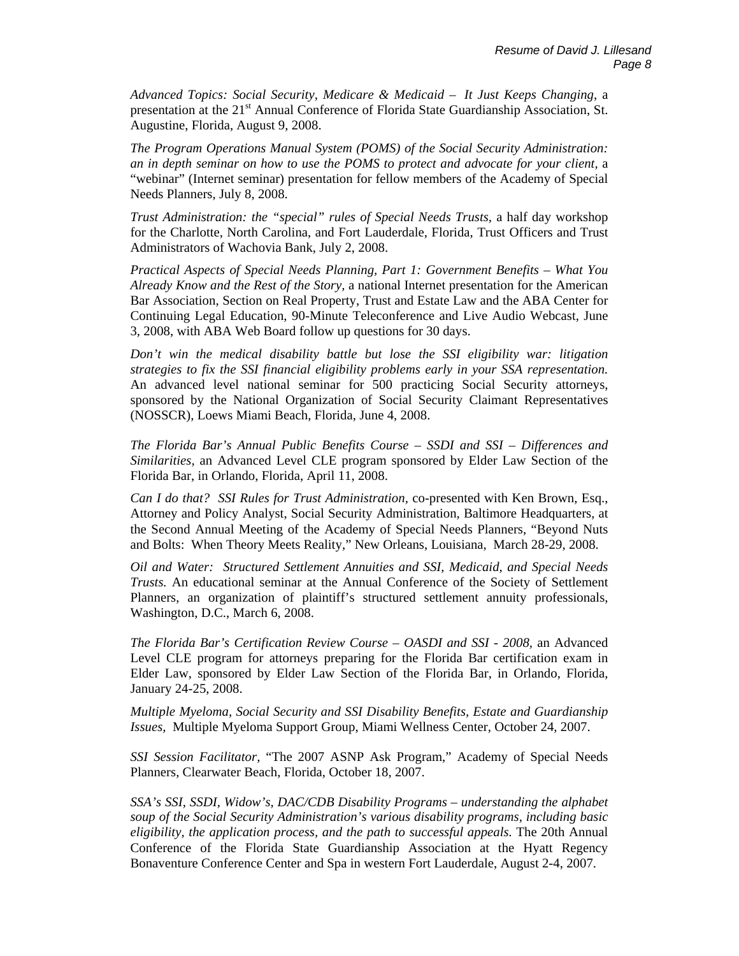*Advanced Topics: Social Security, Medicare & Medicaid – It Just Keeps Changing*, a presentation at the 21<sup>st</sup> Annual Conference of Florida State Guardianship Association, St. Augustine, Florida, August 9, 2008.

*The Program Operations Manual System (POMS) of the Social Security Administration: an in depth seminar on how to use the POMS to protect and advocate for your client,* a "webinar" (Internet seminar) presentation for fellow members of the Academy of Special Needs Planners, July 8, 2008.

*Trust Administration: the "special" rules of Special Needs Trusts,* a half day workshop for the Charlotte, North Carolina, and Fort Lauderdale, Florida, Trust Officers and Trust Administrators of Wachovia Bank, July 2, 2008.

*Practical Aspects of Special Needs Planning, Part 1: Government Benefits – What You Already Know and the Rest of the Story,* a national Internet presentation for the American Bar Association, Section on Real Property, Trust and Estate Law and the ABA Center for Continuing Legal Education, 90-Minute Teleconference and Live Audio Webcast, June 3, 2008, with ABA Web Board follow up questions for 30 days.

*Don't win the medical disability battle but lose the SSI eligibility war: litigation strategies to fix the SSI financial eligibility problems early in your SSA representation.* An advanced level national seminar for 500 practicing Social Security attorneys, sponsored by the National Organization of Social Security Claimant Representatives (NOSSCR), Loews Miami Beach, Florida, June 4, 2008.

*The Florida Bar's Annual Public Benefits Course – SSDI and SSI – Differences and Similarities,* an Advanced Level CLE program sponsored by Elder Law Section of the Florida Bar, in Orlando, Florida, April 11, 2008.

*Can I do that? SSI Rules for Trust Administration,* co-presented with Ken Brown, Esq., Attorney and Policy Analyst, Social Security Administration, Baltimore Headquarters, at the Second Annual Meeting of the Academy of Special Needs Planners, "Beyond Nuts and Bolts: When Theory Meets Reality," New Orleans, Louisiana, March 28-29, 2008.

*Oil and Water: Structured Settlement Annuities and SSI, Medicaid, and Special Needs Trusts.* An educational seminar at the Annual Conference of the Society of Settlement Planners, an organization of plaintiff's structured settlement annuity professionals, Washington, D.C., March 6, 2008.

*The Florida Bar's Certification Review Course – OASDI and SSI - 2008,* an Advanced Level CLE program for attorneys preparing for the Florida Bar certification exam in Elder Law, sponsored by Elder Law Section of the Florida Bar, in Orlando, Florida, January 24-25, 2008.

*Multiple Myeloma, Social Security and SSI Disability Benefits, Estate and Guardianship Issues,* Multiple Myeloma Support Group, Miami Wellness Center, October 24, 2007.

*SSI Session Facilitator,* "The 2007 ASNP Ask Program," Academy of Special Needs Planners, Clearwater Beach, Florida, October 18, 2007.

*SSA's SSI, SSDI, Widow's, DAC/CDB Disability Programs – understanding the alphabet soup of the Social Security Administration's various disability programs, including basic eligibility, the application process, and the path to successful appeals.* The 20th Annual Conference of the Florida State Guardianship Association at the Hyatt Regency Bonaventure Conference Center and Spa in western Fort Lauderdale, August 2-4, 2007.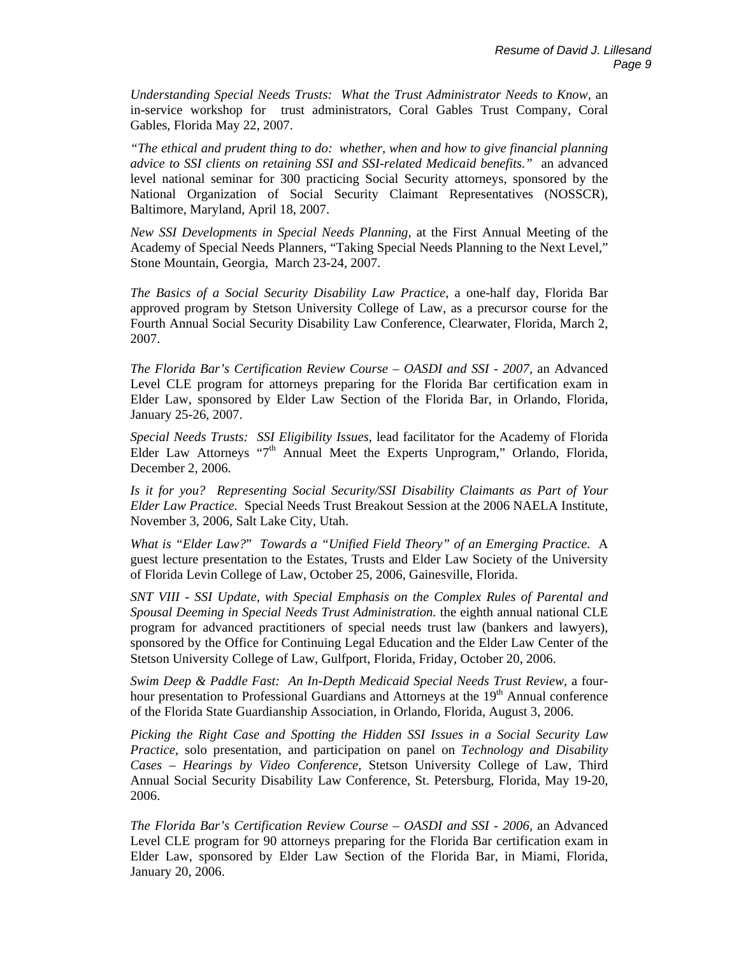*Understanding Special Needs Trusts: What the Trust Administrator Needs to Know,* an in-service workshop for trust administrators, Coral Gables Trust Company, Coral Gables, Florida May 22, 2007.

*"The ethical and prudent thing to do: whether, when and how to give financial planning advice to SSI clients on retaining SSI and SSI-related Medicaid benefits."* an advanced level national seminar for 300 practicing Social Security attorneys, sponsored by the National Organization of Social Security Claimant Representatives (NOSSCR), Baltimore, Maryland, April 18, 2007.

*New SSI Developments in Special Needs Planning,* at the First Annual Meeting of the Academy of Special Needs Planners, "Taking Special Needs Planning to the Next Level," Stone Mountain, Georgia, March 23-24, 2007.

*The Basics of a Social Security Disability Law Practice,* a one-half day, Florida Bar approved program by Stetson University College of Law, as a precursor course for the Fourth Annual Social Security Disability Law Conference, Clearwater, Florida, March 2, 2007.

*The Florida Bar's Certification Review Course – OASDI and SSI - 2007,* an Advanced Level CLE program for attorneys preparing for the Florida Bar certification exam in Elder Law, sponsored by Elder Law Section of the Florida Bar, in Orlando, Florida, January 25-26, 2007.

*Special Needs Trusts: SSI Eligibility Issues*, lead facilitator for the Academy of Florida Elder Law Attorneys "7<sup>th</sup> Annual Meet the Experts Unprogram," Orlando, Florida, December 2, 2006.

*Is it for you? Representing Social Security/SSI Disability Claimants as Part of Your Elder Law Practice.* Special Needs Trust Breakout Session at the 2006 NAELA Institute, November 3, 2006, Salt Lake City, Utah.

*What is "Elder Law?*" *Towards a "Unified Field Theory" of an Emerging Practice.* A guest lecture presentation to the Estates, Trusts and Elder Law Society of the University of Florida Levin College of Law, October 25, 2006, Gainesville, Florida.

*SNT VIII - SSI Update, with Special Emphasis on the Complex Rules of Parental and Spousal Deeming in Special Needs Trust Administration.* the eighth annual national CLE program for advanced practitioners of special needs trust law (bankers and lawyers), sponsored by the Office for Continuing Legal Education and the Elder Law Center of the Stetson University College of Law, Gulfport, Florida, Friday, October 20, 2006.

*Swim Deep & Paddle Fast: An In-Depth Medicaid Special Needs Trust Review*, a fourhour presentation to Professional Guardians and Attorneys at the 19<sup>th</sup> Annual conference of the Florida State Guardianship Association, in Orlando, Florida, August 3, 2006.

*Picking the Right Case and Spotting the Hidden SSI Issues in a Social Security Law Practice*, solo presentation, and participation on panel on *Technology and Disability Cases – Hearings by Video Conference,* Stetson University College of Law, Third Annual Social Security Disability Law Conference, St. Petersburg, Florida, May 19-20, 2006.

*The Florida Bar's Certification Review Course – OASDI and SSI - 2006,* an Advanced Level CLE program for 90 attorneys preparing for the Florida Bar certification exam in Elder Law, sponsored by Elder Law Section of the Florida Bar, in Miami, Florida, January 20, 2006.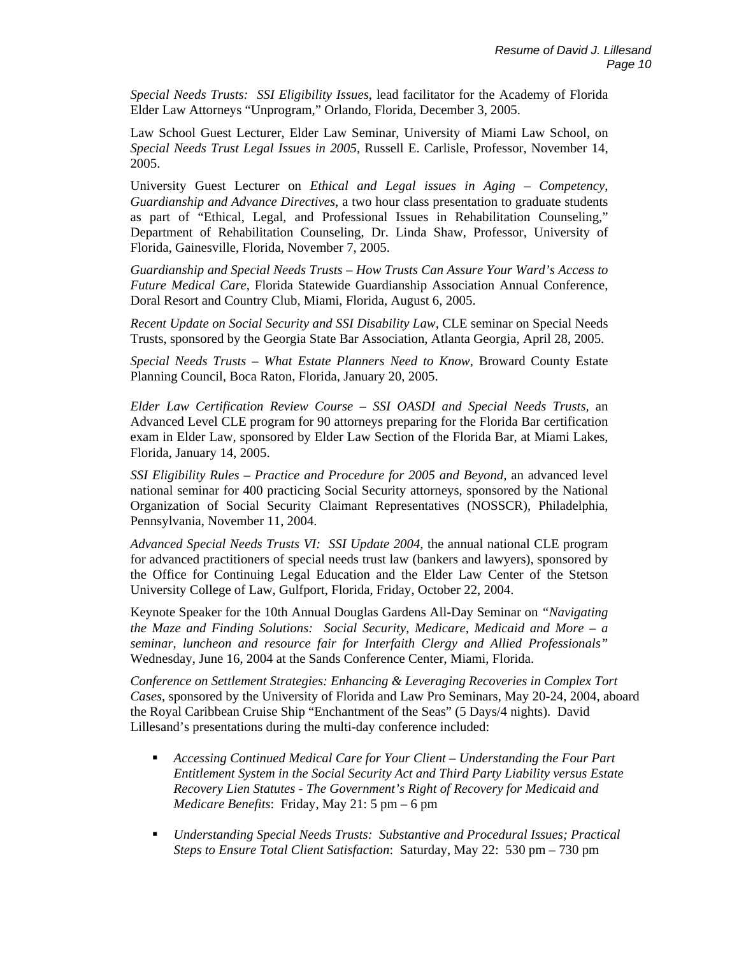*Special Needs Trusts: SSI Eligibility Issues*, lead facilitator for the Academy of Florida Elder Law Attorneys "Unprogram," Orlando, Florida, December 3, 2005.

Law School Guest Lecturer, Elder Law Seminar, University of Miami Law School, on *Special Needs Trust Legal Issues in 2005*, Russell E. Carlisle, Professor, November 14, 2005.

University Guest Lecturer on *Ethical and Legal issues in Aging – Competency, Guardianship and Advance Directives*, a two hour class presentation to graduate students as part of "Ethical, Legal, and Professional Issues in Rehabilitation Counseling," Department of Rehabilitation Counseling, Dr. Linda Shaw, Professor, University of Florida, Gainesville, Florida, November 7, 2005.

*Guardianship and Special Needs Trusts – How Trusts Can Assure Your Ward's Access to Future Medical Care,* Florida Statewide Guardianship Association Annual Conference, Doral Resort and Country Club, Miami, Florida, August 6, 2005.

*Recent Update on Social Security and SSI Disability Law,* CLE seminar on Special Needs Trusts, sponsored by the Georgia State Bar Association, Atlanta Georgia, April 28, 2005.

*Special Needs Trusts – What Estate Planners Need to Know,* Broward County Estate Planning Council, Boca Raton, Florida, January 20, 2005.

*Elder Law Certification Review Course – SSI OASDI and Special Needs Trusts,* an Advanced Level CLE program for 90 attorneys preparing for the Florida Bar certification exam in Elder Law, sponsored by Elder Law Section of the Florida Bar, at Miami Lakes, Florida, January 14, 2005.

*SSI Eligibility Rules – Practice and Procedure for 2005 and Beyond,* an advanced level national seminar for 400 practicing Social Security attorneys, sponsored by the National Organization of Social Security Claimant Representatives (NOSSCR), Philadelphia, Pennsylvania, November 11, 2004.

*Advanced Special Needs Trusts VI: SSI Update 2004,* the annual national CLE program for advanced practitioners of special needs trust law (bankers and lawyers), sponsored by the Office for Continuing Legal Education and the Elder Law Center of the Stetson University College of Law, Gulfport, Florida, Friday, October 22, 2004.

Keynote Speaker for the 10th Annual Douglas Gardens All-Day Seminar on *"Navigating the Maze and Finding Solutions: Social Security, Medicare, Medicaid and More – a seminar, luncheon and resource fair for Interfaith Clergy and Allied Professionals"*  Wednesday, June 16, 2004 at the Sands Conference Center, Miami, Florida.

*Conference on Settlement Strategies: Enhancing & Leveraging Recoveries in Complex Tort Cases*, sponsored by the University of Florida and Law Pro Seminars, May 20-24, 2004, aboard the Royal Caribbean Cruise Ship "Enchantment of the Seas" (5 Days/4 nights). David Lillesand's presentations during the multi-day conference included:

- *Accessing Continued Medical Care for Your Client Understanding the Four Part Entitlement System in the Social Security Act and Third Party Liability versus Estate Recovery Lien Statutes - The Government's Right of Recovery for Medicaid and Medicare Benefits*: Friday, May 21: 5 pm – 6 pm
- *Understanding Special Needs Trusts: Substantive and Procedural Issues; Practical Steps to Ensure Total Client Satisfaction*: Saturday, May 22: 530 pm – 730 pm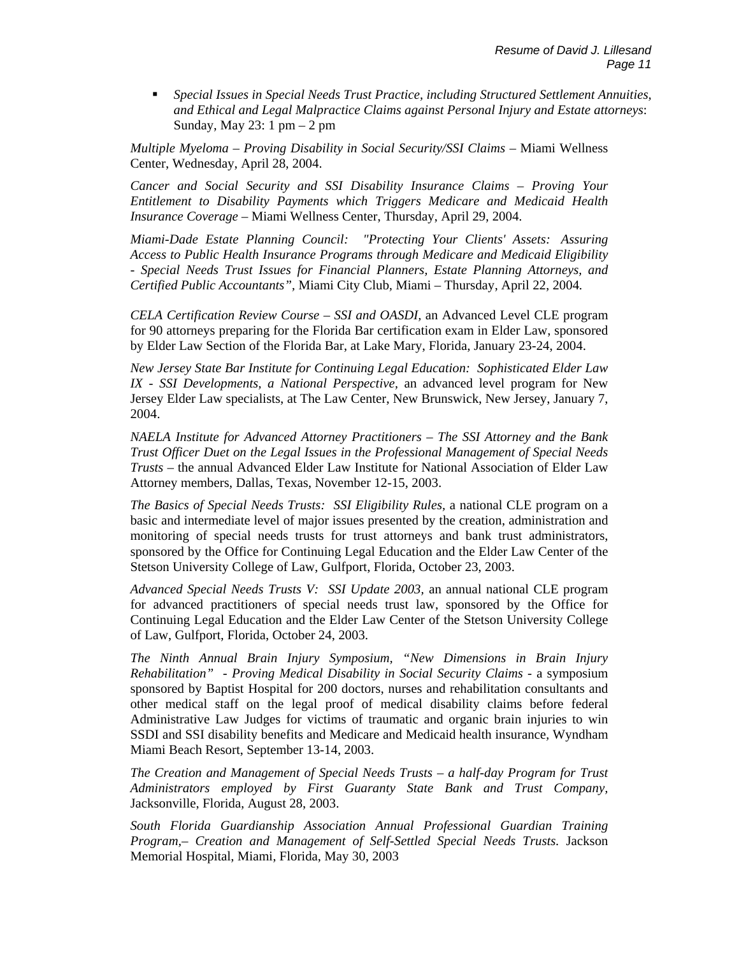*Special Issues in Special Needs Trust Practice, including Structured Settlement Annuities, and Ethical and Legal Malpractice Claims against Personal Injury and Estate attorneys*: Sunday, May 23: 1 pm – 2 pm

*Multiple Myeloma – Proving Disability in Social Security/SSI Claims –* Miami Wellness Center, Wednesday, April 28, 2004.

*Cancer and Social Security and SSI Disability Insurance Claims – Proving Your Entitlement to Disability Payments which Triggers Medicare and Medicaid Health Insurance Coverage –* Miami Wellness Center, Thursday, April 29, 2004.

*Miami-Dade Estate Planning Council: "Protecting Your Clients' Assets: Assuring Access to Public Health Insurance Programs through Medicare and Medicaid Eligibility - Special Needs Trust Issues for Financial Planners, Estate Planning Attorneys, and Certified Public Accountants",* Miami City Club*,* Miami *–* Thursday, April 22, 2004*.*

*CELA Certification Review Course – SSI and OASDI,* an Advanced Level CLE program for 90 attorneys preparing for the Florida Bar certification exam in Elder Law, sponsored by Elder Law Section of the Florida Bar, at Lake Mary, Florida, January 23-24, 2004.

*New Jersey State Bar Institute for Continuing Legal Education: Sophisticated Elder Law IX - SSI Developments, a National Perspective,* an advanced level program for New Jersey Elder Law specialists, at The Law Center, New Brunswick, New Jersey, January 7, 2004.

*NAELA Institute for Advanced Attorney Practitioners – The SSI Attorney and the Bank Trust Officer Duet on the Legal Issues in the Professional Management of Special Needs Trusts* – the annual Advanced Elder Law Institute for National Association of Elder Law Attorney members, Dallas, Texas, November 12-15, 2003.

*The Basics of Special Needs Trusts: SSI Eligibility Rules,* a national CLE program on a basic and intermediate level of major issues presented by the creation, administration and monitoring of special needs trusts for trust attorneys and bank trust administrators, sponsored by the Office for Continuing Legal Education and the Elder Law Center of the Stetson University College of Law, Gulfport, Florida, October 23, 2003.

*Advanced Special Needs Trusts V: SSI Update 2003,* an annual national CLE program for advanced practitioners of special needs trust law, sponsored by the Office for Continuing Legal Education and the Elder Law Center of the Stetson University College of Law, Gulfport, Florida, October 24, 2003.

*The Ninth Annual Brain Injury Symposium, "New Dimensions in Brain Injury Rehabilitation" - Proving Medical Disability in Social Security Claims -* a symposium sponsored by Baptist Hospital for 200 doctors, nurses and rehabilitation consultants and other medical staff on the legal proof of medical disability claims before federal Administrative Law Judges for victims of traumatic and organic brain injuries to win SSDI and SSI disability benefits and Medicare and Medicaid health insurance*,* Wyndham Miami Beach Resort, September 13-14, 2003.

*The Creation and Management of Special Needs Trusts – a half-day Program for Trust Administrators employed by First Guaranty State Bank and Trust Company,*  Jacksonville, Florida, August 28, 2003.

*South Florida Guardianship Association Annual Professional Guardian Training Program,– Creation and Management of Self-Settled Special Needs Trusts.* Jackson Memorial Hospital, Miami, Florida, May 30, 2003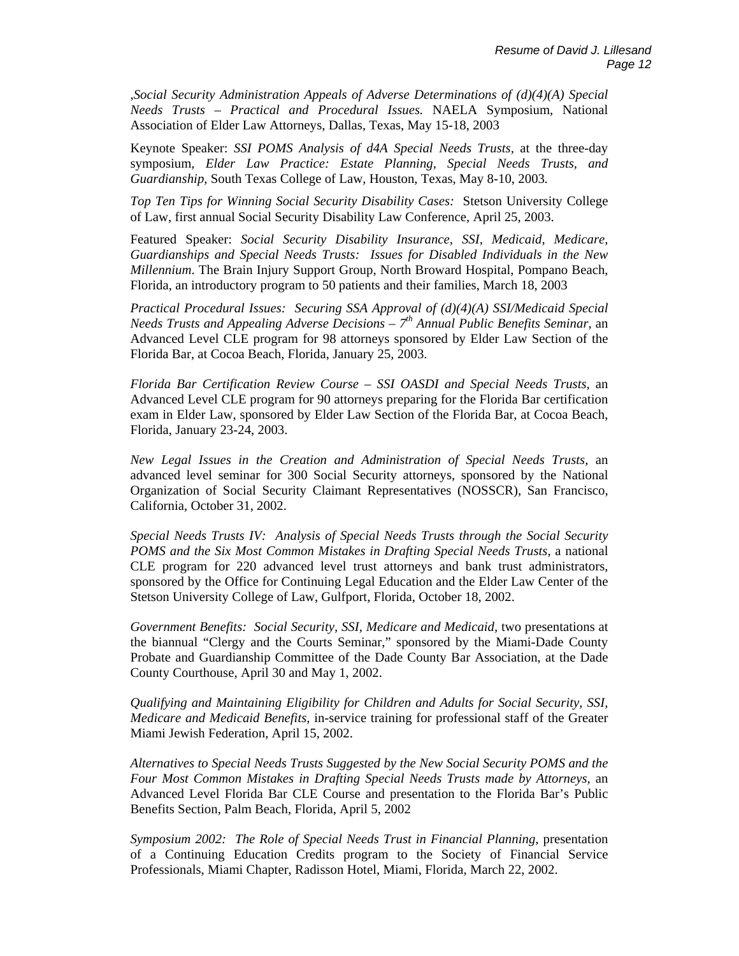*,Social Security Administration Appeals of Adverse Determinations of (d)(4)(A) Special Needs Trusts – Practical and Procedural Issues.* NAELA Symposium, National Association of Elder Law Attorneys, Dallas, Texas, May 15-18, 2003

Keynote Speaker: *SSI POMS Analysis of d4A Special Needs Trusts,* at the three-day symposium*, Elder Law Practice: Estate Planning, Special Needs Trusts, and Guardianship,* South Texas College of Law, Houston, Texas, May 8-10, 2003*.* 

*Top Ten Tips for Winning Social Security Disability Cases:* Stetson University College of Law, first annual Social Security Disability Law Conference, April 25, 2003.

Featured Speaker: *Social Security Disability Insurance, SSI, Medicaid, Medicare, Guardianships and Special Needs Trusts: Issues for Disabled Individuals in the New Millennium*. The Brain Injury Support Group, North Broward Hospital, Pompano Beach, Florida, an introductory program to 50 patients and their families, March 18, 2003

*Practical Procedural Issues: Securing SSA Approval of (d)(4)(A) SSI/Medicaid Special Needs Trusts and Appealing Adverse Decisions – 7th Annual Public Benefits Seminar,* an Advanced Level CLE program for 98 attorneys sponsored by Elder Law Section of the Florida Bar, at Cocoa Beach, Florida, January 25, 2003.

*Florida Bar Certification Review Course – SSI OASDI and Special Needs Trusts,* an Advanced Level CLE program for 90 attorneys preparing for the Florida Bar certification exam in Elder Law, sponsored by Elder Law Section of the Florida Bar, at Cocoa Beach, Florida, January 23-24, 2003.

*New Legal Issues in the Creation and Administration of Special Needs Trusts,* an advanced level seminar for 300 Social Security attorneys, sponsored by the National Organization of Social Security Claimant Representatives (NOSSCR), San Francisco, California, October 31, 2002.

*Special Needs Trusts IV: Analysis of Special Needs Trusts through the Social Security POMS and the Six Most Common Mistakes in Drafting Special Needs Trusts,* a national CLE program for 220 advanced level trust attorneys and bank trust administrators, sponsored by the Office for Continuing Legal Education and the Elder Law Center of the Stetson University College of Law, Gulfport, Florida, October 18, 2002.

*Government Benefits: Social Security, SSI, Medicare and Medicaid,* two presentations at the biannual "Clergy and the Courts Seminar," sponsored by the Miami-Dade County Probate and Guardianship Committee of the Dade County Bar Association, at the Dade County Courthouse, April 30 and May 1, 2002.

*Qualifying and Maintaining Eligibility for Children and Adults for Social Security, SSI, Medicare and Medicaid Benefits,* in-service training for professional staff of the Greater Miami Jewish Federation, April 15, 2002.

*Alternatives to Special Needs Trusts Suggested by the New Social Security POMS and the Four Most Common Mistakes in Drafting Special Needs Trusts made by Attorneys,* an Advanced Level Florida Bar CLE Course and presentation to the Florida Bar's Public Benefits Section, Palm Beach, Florida, April 5, 2002

*Symposium 2002: The Role of Special Needs Trust in Financial Planning, presentation* of a Continuing Education Credits program to the Society of Financial Service Professionals, Miami Chapter, Radisson Hotel, Miami, Florida, March 22, 2002.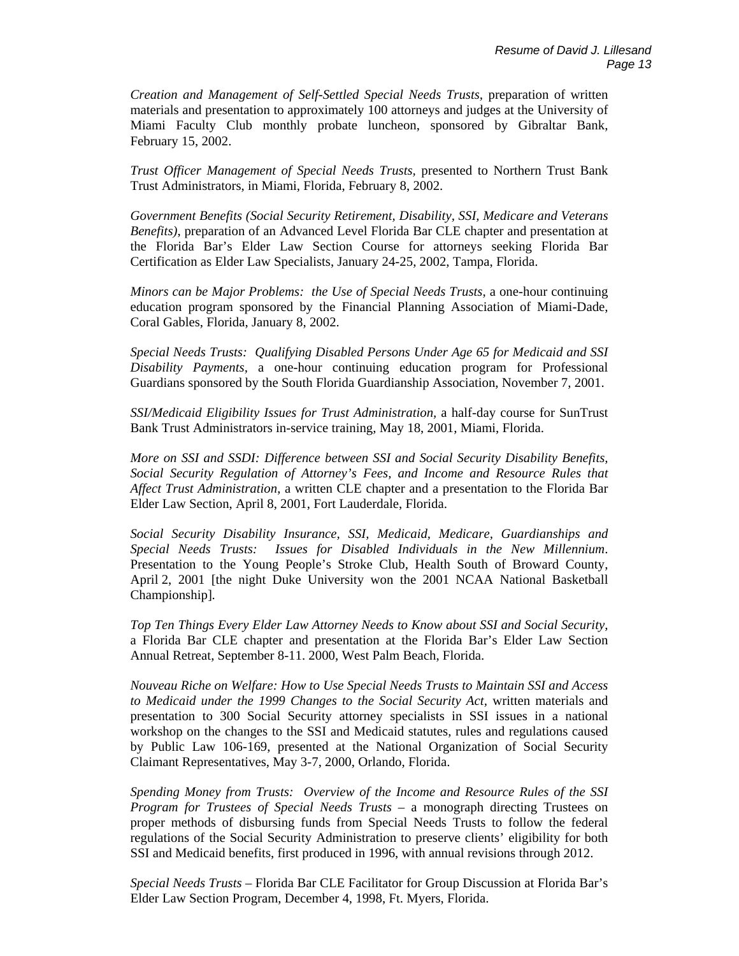*Creation and Management of Self-Settled Special Needs Trusts,* preparation of written materials and presentation to approximately 100 attorneys and judges at the University of Miami Faculty Club monthly probate luncheon, sponsored by Gibraltar Bank, February 15, 2002.

*Trust Officer Management of Special Needs Trusts,* presented to Northern Trust Bank Trust Administrators, in Miami, Florida, February 8, 2002.

*Government Benefits (Social Security Retirement, Disability, SSI, Medicare and Veterans Benefits)*, preparation of an Advanced Level Florida Bar CLE chapter and presentation at the Florida Bar's Elder Law Section Course for attorneys seeking Florida Bar Certification as Elder Law Specialists, January 24-25, 2002, Tampa, Florida.

*Minors can be Major Problems: the Use of Special Needs Trusts*, a one-hour continuing education program sponsored by the Financial Planning Association of Miami-Dade, Coral Gables, Florida, January 8, 2002.

*Special Needs Trusts: Qualifying Disabled Persons Under Age 65 for Medicaid and SSI Disability Payments,* a one-hour continuing education program for Professional Guardians sponsored by the South Florida Guardianship Association, November 7, 2001.

*SSI/Medicaid Eligibility Issues for Trust Administration,* a half-day course for SunTrust Bank Trust Administrators in-service training, May 18, 2001, Miami, Florida.

*More on SSI and SSDI: Difference between SSI and Social Security Disability Benefits, Social Security Regulation of Attorney's Fees, and Income and Resource Rules that Affect Trust Administration*, a written CLE chapter and a presentation to the Florida Bar Elder Law Section, April 8, 2001, Fort Lauderdale, Florida.

*Social Security Disability Insurance, SSI, Medicaid, Medicare, Guardianships and Special Needs Trusts: Issues for Disabled Individuals in the New Millennium*. Presentation to the Young People's Stroke Club, Health South of Broward County, April 2, 2001 [the night Duke University won the 2001 NCAA National Basketball Championship].

*Top Ten Things Every Elder Law Attorney Needs to Know about SSI and Social Security*, a Florida Bar CLE chapter and presentation at the Florida Bar's Elder Law Section Annual Retreat, September 8-11. 2000, West Palm Beach, Florida.

*Nouveau Riche on Welfare: How to Use Special Needs Trusts to Maintain SSI and Access to Medicaid under the 1999 Changes to the Social Security Act,* written materials and presentation to 300 Social Security attorney specialists in SSI issues in a national workshop on the changes to the SSI and Medicaid statutes, rules and regulations caused by Public Law 106-169, presented at the National Organization of Social Security Claimant Representatives, May 3-7, 2000, Orlando, Florida.

*Spending Money from Trusts: Overview of the Income and Resource Rules of the SSI Program for Trustees of Special Needs Trusts* – a monograph directing Trustees on proper methods of disbursing funds from Special Needs Trusts to follow the federal regulations of the Social Security Administration to preserve clients' eligibility for both SSI and Medicaid benefits, first produced in 1996, with annual revisions through 2012.

*Special Needs Trusts* – Florida Bar CLE Facilitator for Group Discussion at Florida Bar's Elder Law Section Program, December 4, 1998, Ft. Myers, Florida.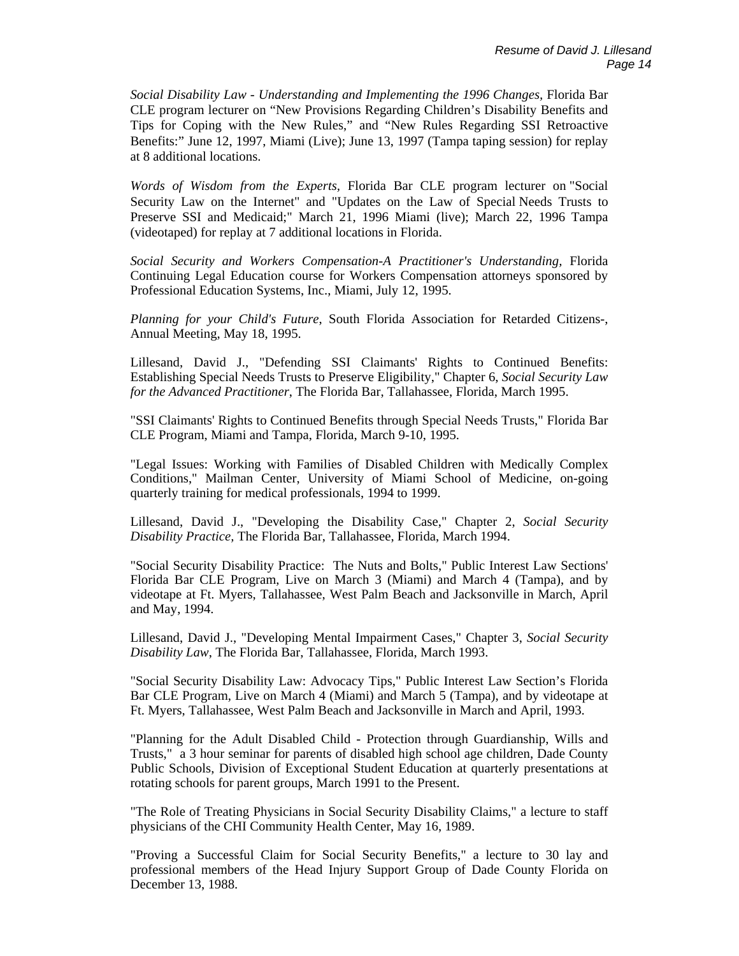*Social Disability Law - Understanding and Implementing the 1996 Changes,* Florida Bar CLE program lecturer on "New Provisions Regarding Children's Disability Benefits and Tips for Coping with the New Rules," and "New Rules Regarding SSI Retroactive Benefits:" June 12, 1997, Miami (Live); June 13, 1997 (Tampa taping session) for replay at 8 additional locations.

*Words of Wisdom from the Experts,* Florida Bar CLE program lecturer on "Social Security Law on the Internet" and "Updates on the Law of Special Needs Trusts to Preserve SSI and Medicaid;" March 21, 1996 Miami (live); March 22, 1996 Tampa (videotaped) for replay at 7 additional locations in Florida.

*Social Security and Workers Compensation-A Practitioner's Understanding,* Florida Continuing Legal Education course for Workers Compensation attorneys sponsored by Professional Education Systems, Inc., Miami, July 12, 1995.

*Planning for your Child's Future*, South Florida Association for Retarded Citizens-, Annual Meeting, May 18, 1995.

Lillesand, David J., "Defending SSI Claimants' Rights to Continued Benefits: Establishing Special Needs Trusts to Preserve Eligibility," Chapter 6, *Social Security Law for the Advanced Practitioner*, The Florida Bar, Tallahassee, Florida, March 1995.

"SSI Claimants' Rights to Continued Benefits through Special Needs Trusts," Florida Bar CLE Program, Miami and Tampa, Florida, March 9-10, 1995.

"Legal Issues: Working with Families of Disabled Children with Medically Complex Conditions," Mailman Center, University of Miami School of Medicine, on-going quarterly training for medical professionals, 1994 to 1999.

Lillesand, David J., "Developing the Disability Case," Chapter 2, *Social Security Disability Practice,* The Florida Bar, Tallahassee, Florida, March 1994.

"Social Security Disability Practice: The Nuts and Bolts," Public Interest Law Sections' Florida Bar CLE Program, Live on March 3 (Miami) and March 4 (Tampa), and by videotape at Ft. Myers, Tallahassee, West Palm Beach and Jacksonville in March, April and May, 1994.

Lillesand, David J., "Developing Mental Impairment Cases," Chapter 3, *Social Security Disability Law*, The Florida Bar, Tallahassee, Florida, March 1993.

"Social Security Disability Law: Advocacy Tips," Public Interest Law Section's Florida Bar CLE Program, Live on March 4 (Miami) and March 5 (Tampa), and by videotape at Ft. Myers, Tallahassee, West Palm Beach and Jacksonville in March and April, 1993.

"Planning for the Adult Disabled Child - Protection through Guardianship, Wills and Trusts," a 3 hour seminar for parents of disabled high school age children, Dade County Public Schools, Division of Exceptional Student Education at quarterly presentations at rotating schools for parent groups, March 1991 to the Present.

"The Role of Treating Physicians in Social Security Disability Claims," a lecture to staff physicians of the CHI Community Health Center, May 16, 1989.

"Proving a Successful Claim for Social Security Benefits," a lecture to 30 lay and professional members of the Head Injury Support Group of Dade County Florida on December 13, 1988.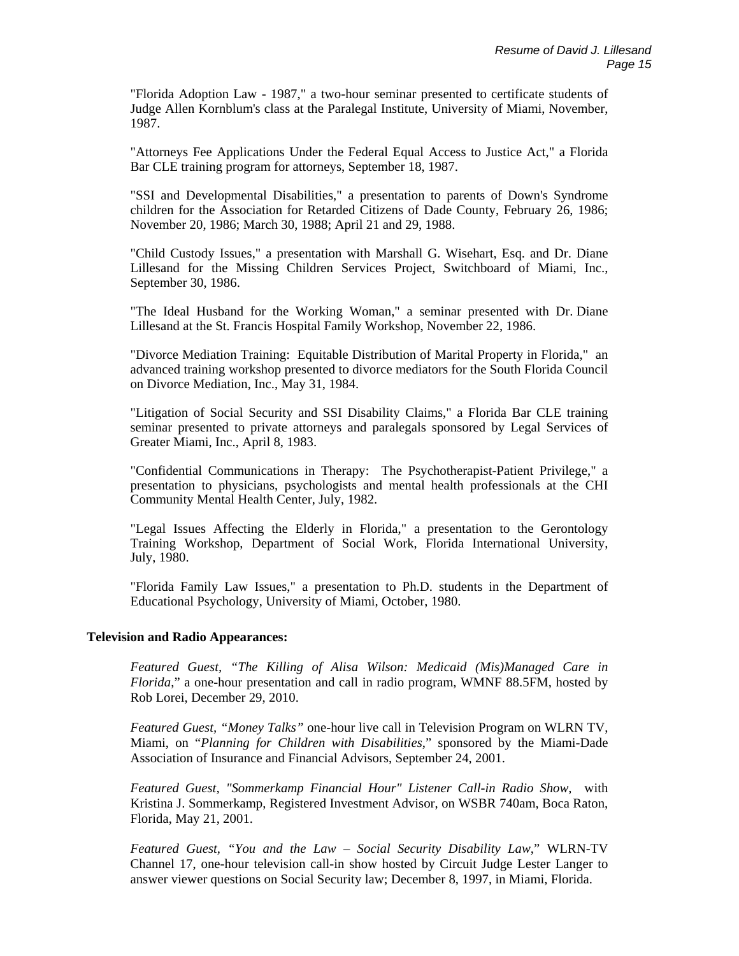"Florida Adoption Law - 1987," a two-hour seminar presented to certificate students of Judge Allen Kornblum's class at the Paralegal Institute, University of Miami, November, 1987.

"Attorneys Fee Applications Under the Federal Equal Access to Justice Act," a Florida Bar CLE training program for attorneys, September 18, 1987.

"SSI and Developmental Disabilities," a presentation to parents of Down's Syndrome children for the Association for Retarded Citizens of Dade County, February 26, 1986; November 20, 1986; March 30, 1988; April 21 and 29, 1988.

"Child Custody Issues," a presentation with Marshall G. Wisehart, Esq. and Dr. Diane Lillesand for the Missing Children Services Project, Switchboard of Miami, Inc., September 30, 1986.

"The Ideal Husband for the Working Woman," a seminar presented with Dr. Diane Lillesand at the St. Francis Hospital Family Workshop, November 22, 1986.

"Divorce Mediation Training: Equitable Distribution of Marital Property in Florida," an advanced training workshop presented to divorce mediators for the South Florida Council on Divorce Mediation, Inc., May 31, 1984.

"Litigation of Social Security and SSI Disability Claims," a Florida Bar CLE training seminar presented to private attorneys and paralegals sponsored by Legal Services of Greater Miami, Inc., April 8, 1983.

"Confidential Communications in Therapy: The Psychotherapist-Patient Privilege," a presentation to physicians, psychologists and mental health professionals at the CHI Community Mental Health Center, July, 1982.

"Legal Issues Affecting the Elderly in Florida," a presentation to the Gerontology Training Workshop, Department of Social Work, Florida International University, July, 1980.

"Florida Family Law Issues," a presentation to Ph.D. students in the Department of Educational Psychology, University of Miami, October, 1980.

# **Television and Radio Appearances:**

*Featured Guest, "The Killing of Alisa Wilson: Medicaid (Mis)Managed Care in Florida*," a one-hour presentation and call in radio program, WMNF 88.5FM, hosted by Rob Lorei, December 29, 2010.

*Featured Guest, "Money Talks"* one-hour live call in Television Program on WLRN TV, Miami, on "*Planning for Children with Disabilities*," sponsored by the Miami-Dade Association of Insurance and Financial Advisors, September 24, 2001.

*Featured Guest, "Sommerkamp Financial Hour" Listener Call-in Radio Show,* with Kristina J. Sommerkamp, Registered Investment Advisor, on WSBR 740am, Boca Raton, Florida, May 21, 2001.

*Featured Guest, "You and the Law – Social Security Disability Law*," WLRN-TV Channel 17, one-hour television call-in show hosted by Circuit Judge Lester Langer to answer viewer questions on Social Security law; December 8, 1997, in Miami, Florida.